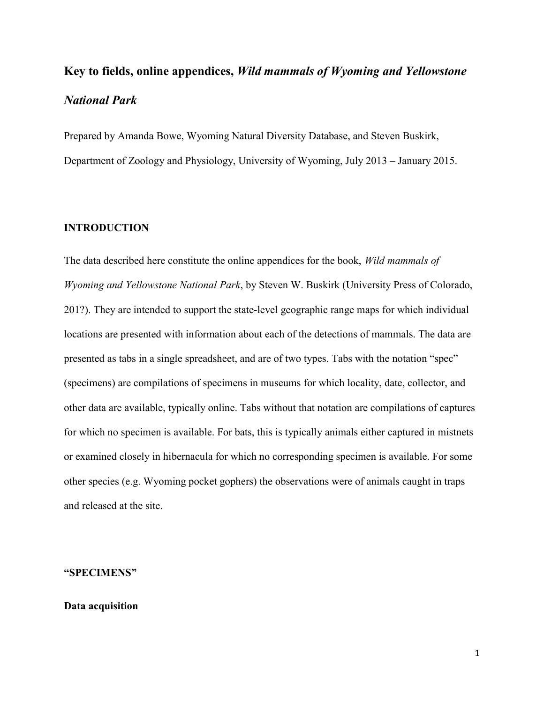# Key to fields, online appendices, Wild mammals of Wyoming and Yellowstone National Park

Prepared by Amanda Bowe, Wyoming Natural Diversity Database, and Steven Buskirk, Department of Zoology and Physiology, University of Wyoming, July 2013 – January 2015.

#### INTRODUCTION

The data described here constitute the online appendices for the book, Wild mammals of Wyoming and Yellowstone National Park, by Steven W. Buskirk (University Press of Colorado, 201?). They are intended to support the state-level geographic range maps for which individual locations are presented with information about each of the detections of mammals. The data are presented as tabs in a single spreadsheet, and are of two types. Tabs with the notation "spec" (specimens) are compilations of specimens in museums for which locality, date, collector, and other data are available, typically online. Tabs without that notation are compilations of captures for which no specimen is available. For bats, this is typically animals either captured in mistnets or examined closely in hibernacula for which no corresponding specimen is available. For some other species (e.g. Wyoming pocket gophers) the observations were of animals caught in traps and released at the site.

#### "SPECIMENS"

# Data acquisition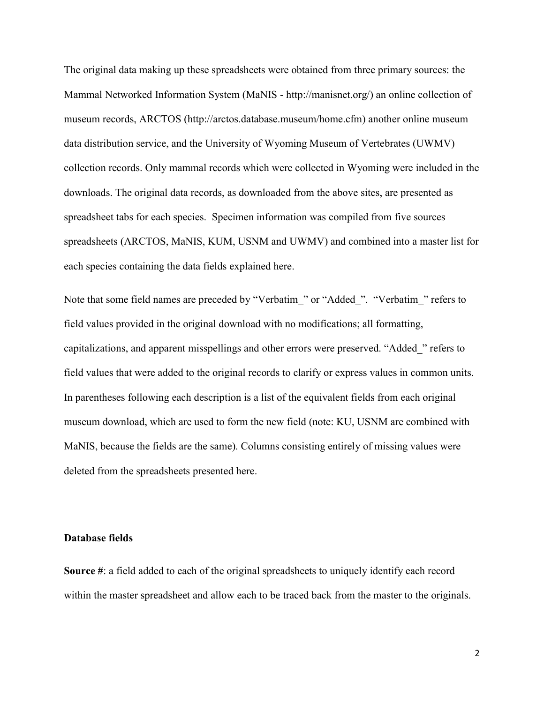The original data making up these spreadsheets were obtained from three primary sources: the Mammal Networked Information System (MaNIS - http://manisnet.org/) an online collection of museum records, ARCTOS (http://arctos.database.museum/home.cfm) another online museum data distribution service, and the University of Wyoming Museum of Vertebrates (UWMV) collection records. Only mammal records which were collected in Wyoming were included in the downloads. The original data records, as downloaded from the above sites, are presented as spreadsheet tabs for each species. Specimen information was compiled from five sources spreadsheets (ARCTOS, MaNIS, KUM, USNM and UWMV) and combined into a master list for each species containing the data fields explained here.

Note that some field names are preceded by "Verbatim\_" or "Added\_". "Verbatim\_" refers to field values provided in the original download with no modifications; all formatting, capitalizations, and apparent misspellings and other errors were preserved. "Added\_" refers to field values that were added to the original records to clarify or express values in common units. In parentheses following each description is a list of the equivalent fields from each original museum download, which are used to form the new field (note: KU, USNM are combined with MaNIS, because the fields are the same). Columns consisting entirely of missing values were deleted from the spreadsheets presented here.

### Database fields

Source #: a field added to each of the original spreadsheets to uniquely identify each record within the master spreadsheet and allow each to be traced back from the master to the originals.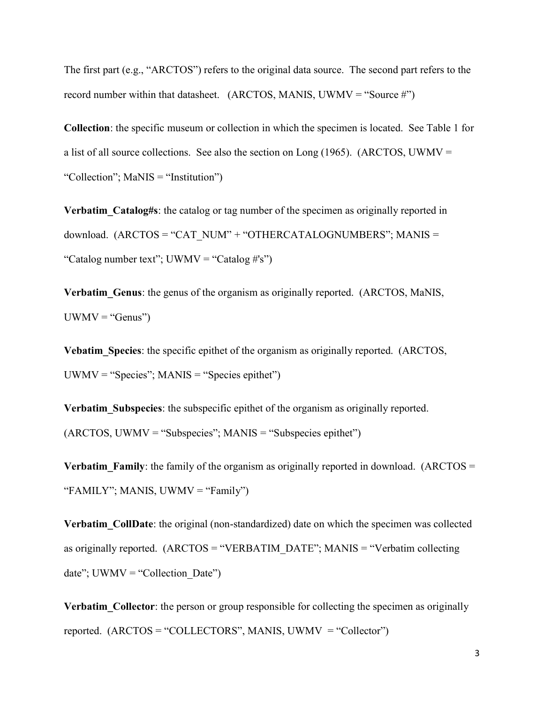The first part (e.g., "ARCTOS") refers to the original data source. The second part refers to the record number within that datasheet. (ARCTOS, MANIS, UWMV = "Source  $\sharp$ ")

Collection: the specific museum or collection in which the specimen is located. See Table 1 for a list of all source collections. See also the section on Long  $(1965)$ . (ARCTOS, UWMV = "Collection"; MaNIS = "Institution")

Verbatim Catalog#s: the catalog or tag number of the specimen as originally reported in download. (ARCTOS = "CAT\_NUM" + "OTHERCATALOGNUMBERS"; MANIS = "Catalog number text"; UWMV = "Catalog #'s")

Verbatim Genus: the genus of the organism as originally reported. (ARCTOS, MaNIS,  $UWMV = "Genus")$ 

Vebatim Species: the specific epithet of the organism as originally reported. (ARCTOS,  $UWMV = "Species"; MANIS = "Species epithet")$ 

Verbatim Subspecies: the subspecific epithet of the organism as originally reported.  $(ARCTOS, UWMV = "Subspecies"; MANIS = "Subspecies epithet")$ 

**Verbatim** Family: the family of the organism as originally reported in download. (ARCTOS  $=$ "FAMILY"; MANIS, UWMV = "Family")

Verbatim\_CollDate: the original (non-standardized) date on which the specimen was collected as originally reported.  $(ARCTOS = "VERBATIM\  $DATE$ ";  $MANIS = "Verbatin\ collecting$$ date";  $UWMV = "Collection Date")$ 

Verbatim Collector: the person or group responsible for collecting the specimen as originally reported.  $(ARCTOS = "COLLECTORS", MANIS, UWMV = "Collector")$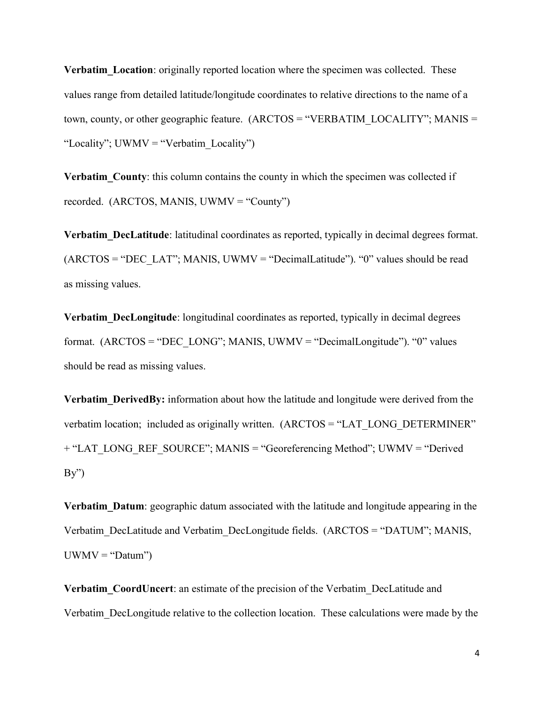**Verbatim Location:** originally reported location where the specimen was collected. These values range from detailed latitude/longitude coordinates to relative directions to the name of a town, county, or other geographic feature. (ARCTOS = "VERBATIM\_LOCALITY"; MANIS = "Locality"; UWMV = "Verbatim\_Locality")

Verbatim County: this column contains the county in which the specimen was collected if recorded. (ARCTOS, MANIS, UWMV = "County")

Verbatim DecLatitude: latitudinal coordinates as reported, typically in decimal degrees format.  $(ARCTOS = "DEC LAT"; MANIS, UWMV = "DecimalLatitude"). "0" values should be read$ as missing values.

Verbatim DecLongitude: longitudinal coordinates as reported, typically in decimal degrees format.  $(ARCTOS = "DEC LONG"; MANIS, UWMV = "DecimalLongitude"). "0" values$ should be read as missing values.

Verbatim DerivedBy: information about how the latitude and longitude were derived from the verbatim location; included as originally written. (ARCTOS = "LAT\_LONG\_DETERMINER") + "LAT\_LONG\_REF\_SOURCE"; MANIS = "Georeferencing Method"; UWMV = "Derived  $By'')$ 

Verbatim Datum: geographic datum associated with the latitude and longitude appearing in the Verbatim\_DecLatitude and Verbatim\_DecLongitude fields. (ARCTOS = "DATUM"; MANIS,  $UWMV = "Datum")$ 

Verbatim CoordUncert: an estimate of the precision of the Verbatim DecLatitude and Verbatim\_DecLongitude relative to the collection location. These calculations were made by the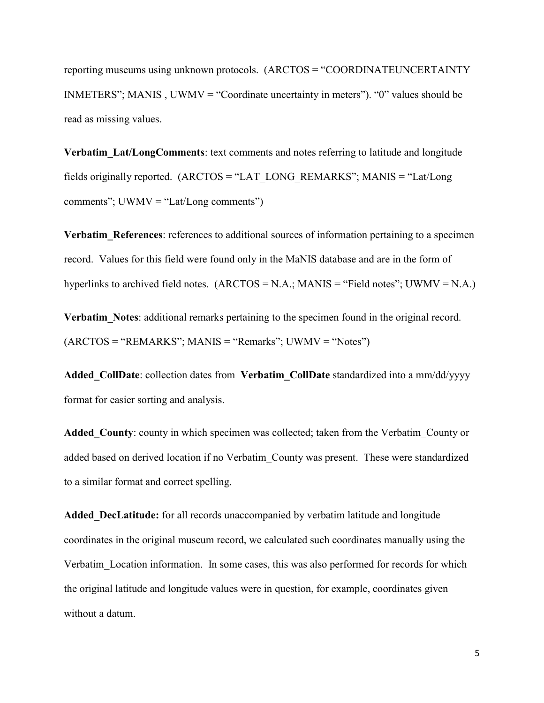reporting museums using unknown protocols. (ARCTOS = "COORDINATEUNCERTAINTY INMETERS"; MANIS , UWMV = "Coordinate uncertainty in meters"). "0" values should be read as missing values.

Verbatim Lat/LongComments: text comments and notes referring to latitude and longitude fields originally reported. (ARCTOS = "LAT\_LONG\_REMARKS"; MANIS = "Lat/Long comments";  $UWMV = "Lat/Long comments")$ 

Verbatim References: references to additional sources of information pertaining to a specimen record. Values for this field were found only in the MaNIS database and are in the form of hyperlinks to archived field notes.  $(ARCTOS = N.A.; MANIS = "Field notes"; UWMV = N.A.)$ 

Verbatim Notes: additional remarks pertaining to the specimen found in the original record.  $(ARCTOS = "REMARKS"; MANIS = "Remarks"; UWMV = "Notes"$ 

Added CollDate: collection dates from Verbatim CollDate standardized into a mm/dd/yyyy format for easier sorting and analysis.

Added County: county in which specimen was collected; taken from the Verbatim County or added based on derived location if no Verbatim\_County was present. These were standardized to a similar format and correct spelling.

Added DecLatitude: for all records unaccompanied by verbatim latitude and longitude coordinates in the original museum record, we calculated such coordinates manually using the Verbatim\_Location information. In some cases, this was also performed for records for which the original latitude and longitude values were in question, for example, coordinates given without a datum.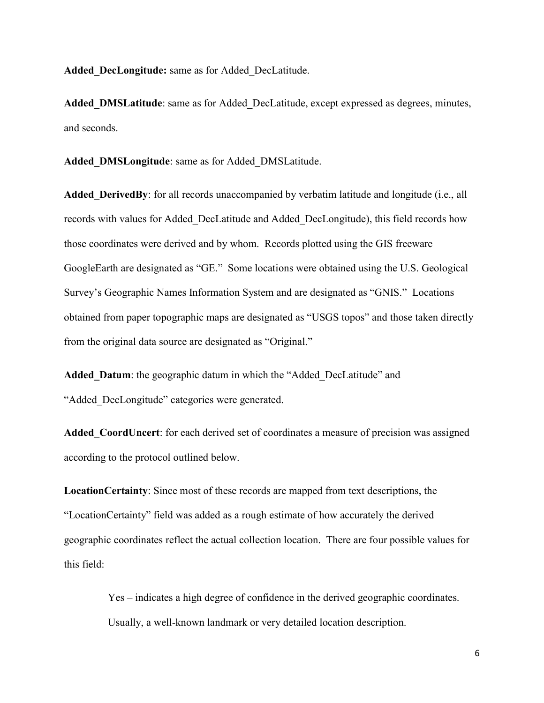Added DecLongitude: same as for Added DecLatitude.

Added DMSLatitude: same as for Added DecLatitude, except expressed as degrees, minutes, and seconds.

Added DMSLongitude: same as for Added DMSLatitude.

Added DerivedBy: for all records unaccompanied by verbatim latitude and longitude (i.e., all records with values for Added\_DecLatitude and Added\_DecLongitude), this field records how those coordinates were derived and by whom. Records plotted using the GIS freeware GoogleEarth are designated as "GE." Some locations were obtained using the U.S. Geological Survey's Geographic Names Information System and are designated as "GNIS." Locations obtained from paper topographic maps are designated as "USGS topos" and those taken directly from the original data source are designated as "Original."

Added\_Datum: the geographic datum in which the "Added\_DecLatitude" and "Added DecLongitude" categories were generated.

Added CoordUncert: for each derived set of coordinates a measure of precision was assigned according to the protocol outlined below.

LocationCertainty: Since most of these records are mapped from text descriptions, the "LocationCertainty" field was added as a rough estimate of how accurately the derived geographic coordinates reflect the actual collection location. There are four possible values for this field:

> Yes – indicates a high degree of confidence in the derived geographic coordinates. Usually, a well-known landmark or very detailed location description.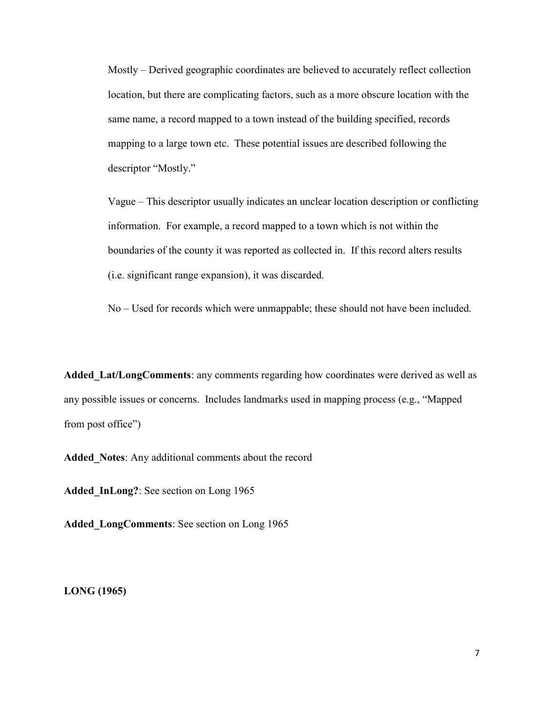Mostly – Derived geographic coordinates are believed to accurately reflect collection location, but there are complicating factors, such as a more obscure location with the same name, a record mapped to a town instead of the building specified, records mapping to a large town etc. These potential issues are described following the descriptor "Mostly."

Vague – This descriptor usually indicates an unclear location description or conflicting information. For example, a record mapped to a town which is not within the boundaries of the county it was reported as collected in. If this record alters results (i.e. significant range expansion), it was discarded.

No – Used for records which were unmappable; these should not have been included.

Added Lat/LongComments: any comments regarding how coordinates were derived as well as any possible issues or concerns. Includes landmarks used in mapping process (e.g., "Mapped from post office")

Added Notes: Any additional comments about the record

Added InLong?: See section on Long 1965

Added LongComments: See section on Long 1965

LONG (1965)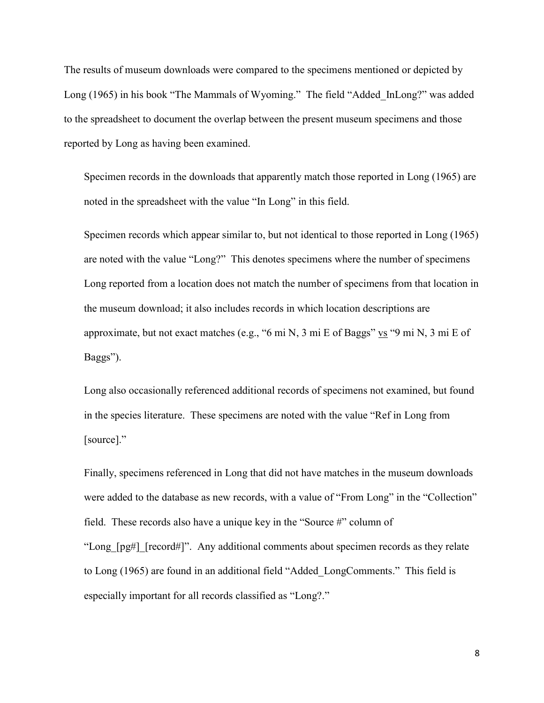The results of museum downloads were compared to the specimens mentioned or depicted by Long (1965) in his book "The Mammals of Wyoming." The field "Added\_InLong?" was added to the spreadsheet to document the overlap between the present museum specimens and those reported by Long as having been examined.

Specimen records in the downloads that apparently match those reported in Long (1965) are noted in the spreadsheet with the value "In Long" in this field.

Specimen records which appear similar to, but not identical to those reported in Long (1965) are noted with the value "Long?" This denotes specimens where the number of specimens Long reported from a location does not match the number of specimens from that location in the museum download; it also includes records in which location descriptions are approximate, but not exact matches (e.g., "6 mi N, 3 mi E of Baggs"  $\underline{vs}$  "9 mi N, 3 mi E of Baggs").

Long also occasionally referenced additional records of specimens not examined, but found in the species literature. These specimens are noted with the value "Ref in Long from [source]."

Finally, specimens referenced in Long that did not have matches in the museum downloads were added to the database as new records, with a value of "From Long" in the "Collection" field. These records also have a unique key in the "Source #" column of "Long [pg#] [record#]". Any additional comments about specimen records as they relate to Long (1965) are found in an additional field "Added\_LongComments." This field is especially important for all records classified as "Long?."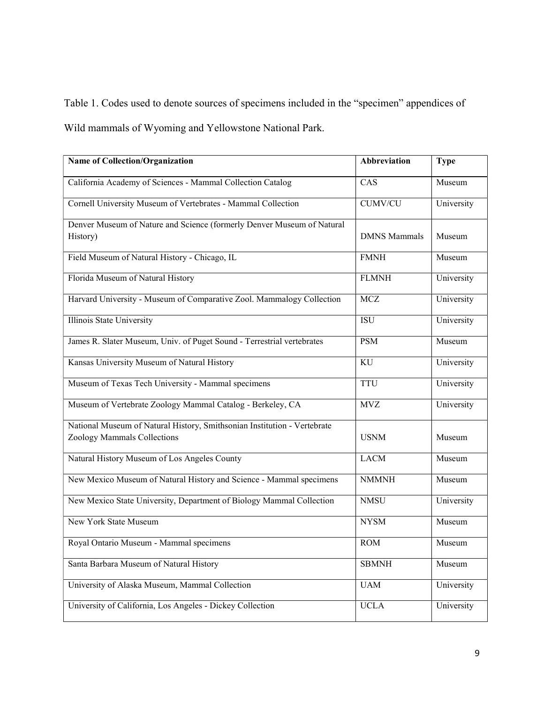Table 1. Codes used to denote sources of specimens included in the "specimen" appendices of Wild mammals of Wyoming and Yellowstone National Park.

| <b>Name of Collection/Organization</b>                                                                  | Abbreviation        | <b>Type</b> |
|---------------------------------------------------------------------------------------------------------|---------------------|-------------|
| California Academy of Sciences - Mammal Collection Catalog                                              | CAS                 | Museum      |
| Cornell University Museum of Vertebrates - Mammal Collection                                            | <b>CUMV/CU</b>      | University  |
| Denver Museum of Nature and Science (formerly Denver Museum of Natural<br>History)                      | <b>DMNS</b> Mammals | Museum      |
| Field Museum of Natural History - Chicago, IL                                                           | <b>FMNH</b>         | Museum      |
| Florida Museum of Natural History                                                                       | <b>FLMNH</b>        | University  |
| Harvard University - Museum of Comparative Zool. Mammalogy Collection                                   | <b>MCZ</b>          | University  |
| Illinois State University                                                                               | ISU                 | University  |
| James R. Slater Museum, Univ. of Puget Sound - Terrestrial vertebrates                                  | <b>PSM</b>          | Museum      |
| Kansas University Museum of Natural History                                                             | KU                  | University  |
| Museum of Texas Tech University - Mammal specimens                                                      | <b>TTU</b>          | University  |
| Museum of Vertebrate Zoology Mammal Catalog - Berkeley, CA                                              | <b>MVZ</b>          | University  |
| National Museum of Natural History, Smithsonian Institution - Vertebrate<br>Zoology Mammals Collections | <b>USNM</b>         | Museum      |
| Natural History Museum of Los Angeles County                                                            | <b>LACM</b>         | Museum      |
| New Mexico Museum of Natural History and Science - Mammal specimens                                     | <b>NMMNH</b>        | Museum      |
| New Mexico State University, Department of Biology Mammal Collection                                    | <b>NMSU</b>         | University  |
| <b>New York State Museum</b>                                                                            | <b>NYSM</b>         | Museum      |
| Royal Ontario Museum - Mammal specimens                                                                 | <b>ROM</b>          | Museum      |
| Santa Barbara Museum of Natural History                                                                 | <b>SBMNH</b>        | Museum      |
| University of Alaska Museum, Mammal Collection                                                          | <b>UAM</b>          | University  |
| University of California, Los Angeles - Dickey Collection                                               | <b>UCLA</b>         | University  |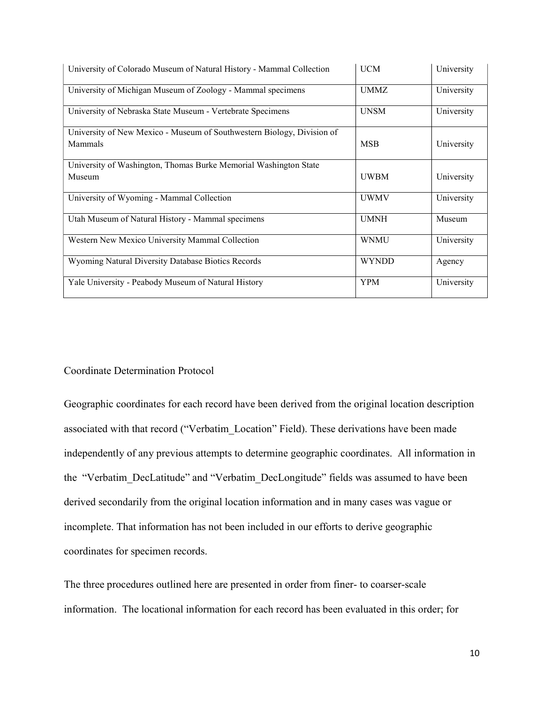| University of Colorado Museum of Natural History - Mammal Collection   | <b>UCM</b>   | University |
|------------------------------------------------------------------------|--------------|------------|
| University of Michigan Museum of Zoology - Mammal specimens            | <b>UMMZ</b>  | University |
| University of Nebraska State Museum - Vertebrate Specimens             | <b>UNSM</b>  | University |
| University of New Mexico - Museum of Southwestern Biology, Division of |              |            |
| Mammals                                                                | <b>MSB</b>   | University |
| University of Washington, Thomas Burke Memorial Washington State       |              |            |
| Museum                                                                 | <b>UWBM</b>  | University |
| University of Wyoming - Mammal Collection                              | <b>UWMV</b>  | University |
| Utah Museum of Natural History - Mammal specimens                      | <b>UMNH</b>  | Museum     |
| Western New Mexico University Mammal Collection                        | <b>WNMU</b>  | University |
| Wyoming Natural Diversity Database Biotics Records                     | <b>WYNDD</b> | Agency     |
| Yale University - Peabody Museum of Natural History                    | <b>YPM</b>   | University |

#### Coordinate Determination Protocol

Geographic coordinates for each record have been derived from the original location description associated with that record ("Verbatim\_Location" Field). These derivations have been made independently of any previous attempts to determine geographic coordinates. All information in the "Verbatim\_DecLatitude" and "Verbatim\_DecLongitude" fields was assumed to have been derived secondarily from the original location information and in many cases was vague or incomplete. That information has not been included in our efforts to derive geographic coordinates for specimen records.

The three procedures outlined here are presented in order from finer- to coarser-scale information. The locational information for each record has been evaluated in this order; for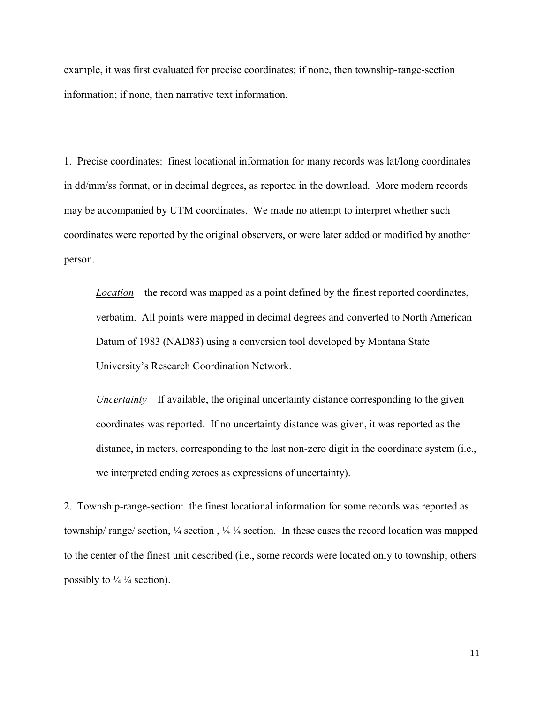example, it was first evaluated for precise coordinates; if none, then township-range-section information; if none, then narrative text information.

1. Precise coordinates: finest locational information for many records was lat/long coordinates in dd/mm/ss format, or in decimal degrees, as reported in the download. More modern records may be accompanied by UTM coordinates. We made no attempt to interpret whether such coordinates were reported by the original observers, or were later added or modified by another person.

 $Location$  – the record was mapped as a point defined by the finest reported coordinates, verbatim. All points were mapped in decimal degrees and converted to North American Datum of 1983 (NAD83) using a conversion tool developed by Montana State University's Research Coordination Network.

Uncertainty  $-If$  available, the original uncertainty distance corresponding to the given coordinates was reported. If no uncertainty distance was given, it was reported as the distance, in meters, corresponding to the last non-zero digit in the coordinate system (i.e., we interpreted ending zeroes as expressions of uncertainty).

2. Township-range-section: the finest locational information for some records was reported as township/ range/ section, ¼ section , ¼ ¼ section. In these cases the record location was mapped to the center of the finest unit described (i.e., some records were located only to township; others possibly to  $\frac{1}{4}$  /4 section).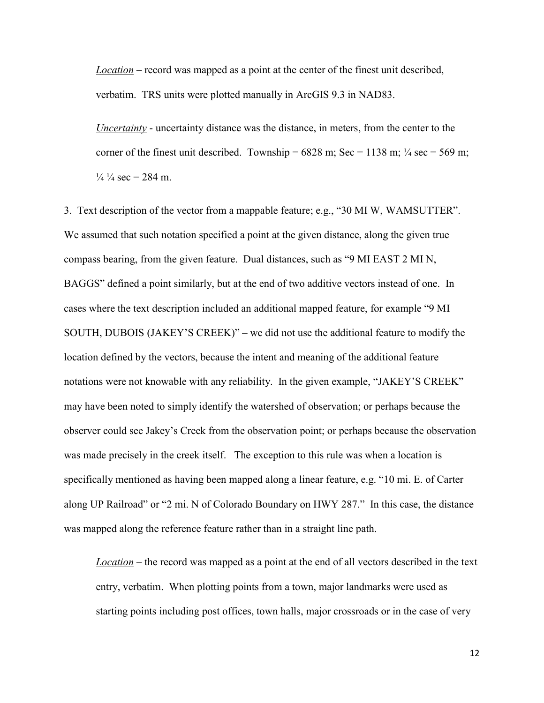Location – record was mapped as a point at the center of the finest unit described, verbatim. TRS units were plotted manually in ArcGIS 9.3 in NAD83.

Uncertainty - uncertainty distance was the distance, in meters, from the center to the corner of the finest unit described. Township =  $6828$  m; Sec = 1138 m;  $\frac{1}{4}$  sec = 569 m;  $\frac{1}{4}$   $\frac{1}{4}$  sec = 284 m.

3. Text description of the vector from a mappable feature; e.g., "30 MI W, WAMSUTTER". We assumed that such notation specified a point at the given distance, along the given true compass bearing, from the given feature. Dual distances, such as "9 MI EAST 2 MI N, BAGGS" defined a point similarly, but at the end of two additive vectors instead of one. In cases where the text description included an additional mapped feature, for example "9 MI SOUTH, DUBOIS (JAKEY'S CREEK)" – we did not use the additional feature to modify the location defined by the vectors, because the intent and meaning of the additional feature notations were not knowable with any reliability. In the given example, "JAKEY'S CREEK" may have been noted to simply identify the watershed of observation; or perhaps because the observer could see Jakey's Creek from the observation point; or perhaps because the observation was made precisely in the creek itself. The exception to this rule was when a location is specifically mentioned as having been mapped along a linear feature, e.g. "10 mi. E. of Carter along UP Railroad" or "2 mi. N of Colorado Boundary on HWY 287." In this case, the distance was mapped along the reference feature rather than in a straight line path.

Location – the record was mapped as a point at the end of all vectors described in the text entry, verbatim. When plotting points from a town, major landmarks were used as starting points including post offices, town halls, major crossroads or in the case of very

12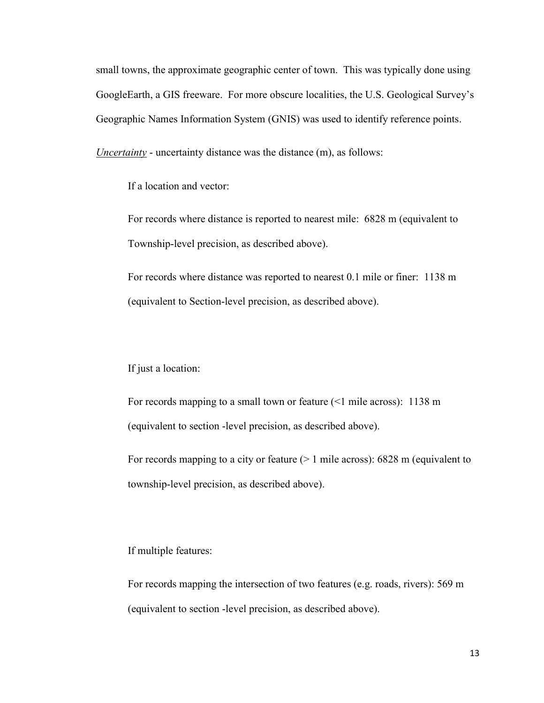small towns, the approximate geographic center of town. This was typically done using GoogleEarth, a GIS freeware. For more obscure localities, the U.S. Geological Survey's Geographic Names Information System (GNIS) was used to identify reference points.

Uncertainty - uncertainty distance was the distance (m), as follows:

If a location and vector:

For records where distance is reported to nearest mile: 6828 m (equivalent to Township-level precision, as described above).

For records where distance was reported to nearest 0.1 mile or finer: 1138 m (equivalent to Section-level precision, as described above).

#### If just a location:

For records mapping to a small town or feature (<1 mile across): 1138 m (equivalent to section -level precision, as described above).

For records mapping to a city or feature  $(> 1 \text{ mile across})$ : 6828 m (equivalent to township-level precision, as described above).

## If multiple features:

For records mapping the intersection of two features (e.g. roads, rivers): 569 m (equivalent to section -level precision, as described above).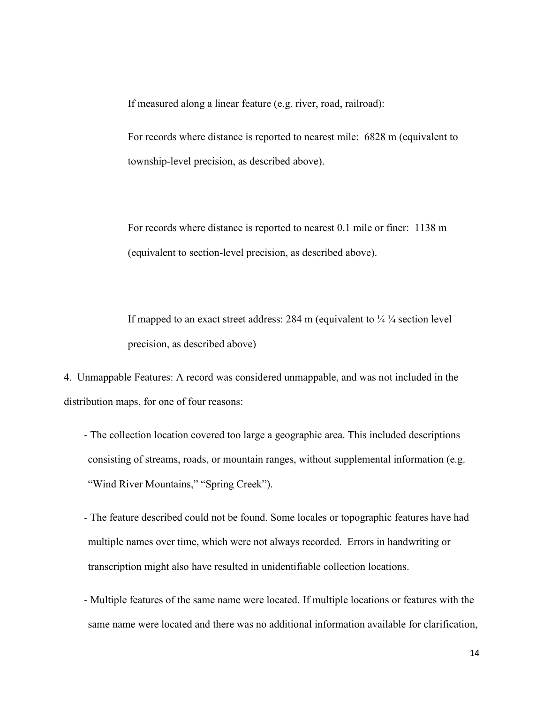If measured along a linear feature (e.g. river, road, railroad):

For records where distance is reported to nearest mile: 6828 m (equivalent to township-level precision, as described above).

For records where distance is reported to nearest 0.1 mile or finer: 1138 m (equivalent to section-level precision, as described above).

If mapped to an exact street address: 284 m (equivalent to  $\frac{1}{4} \frac{1}{4}$  section level precision, as described above)

4. Unmappable Features: A record was considered unmappable, and was not included in the distribution maps, for one of four reasons:

- The collection location covered too large a geographic area. This included descriptions consisting of streams, roads, or mountain ranges, without supplemental information (e.g. "Wind River Mountains," "Spring Creek").
- The feature described could not be found. Some locales or topographic features have had multiple names over time, which were not always recorded. Errors in handwriting or transcription might also have resulted in unidentifiable collection locations.
- Multiple features of the same name were located. If multiple locations or features with the same name were located and there was no additional information available for clarification,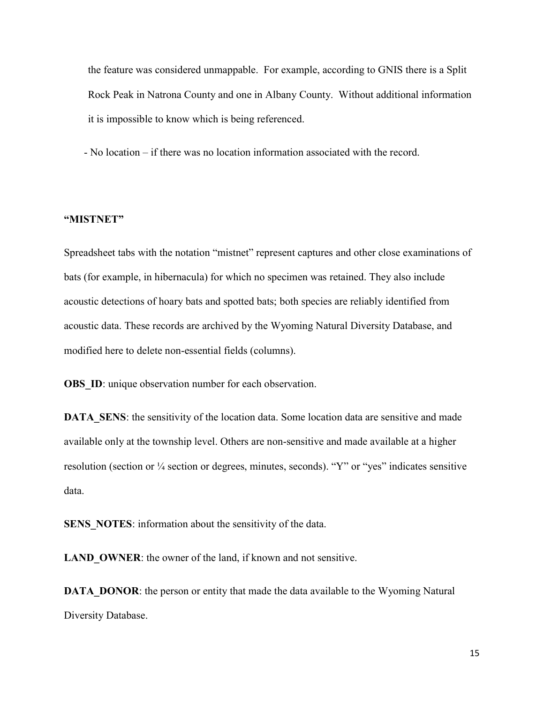the feature was considered unmappable. For example, according to GNIS there is a Split Rock Peak in Natrona County and one in Albany County. Without additional information it is impossible to know which is being referenced.

- No location – if there was no location information associated with the record.

## "MISTNET"

Spreadsheet tabs with the notation "mistnet" represent captures and other close examinations of bats (for example, in hibernacula) for which no specimen was retained. They also include acoustic detections of hoary bats and spotted bats; both species are reliably identified from acoustic data. These records are archived by the Wyoming Natural Diversity Database, and modified here to delete non-essential fields (columns).

**OBS** ID: unique observation number for each observation.

DATA SENS: the sensitivity of the location data. Some location data are sensitive and made available only at the township level. Others are non-sensitive and made available at a higher resolution (section or ¼ section or degrees, minutes, seconds). "Y" or "yes" indicates sensitive data.

SENS NOTES: information about the sensitivity of the data.

LAND OWNER: the owner of the land, if known and not sensitive.

DATA DONOR: the person or entity that made the data available to the Wyoming Natural Diversity Database.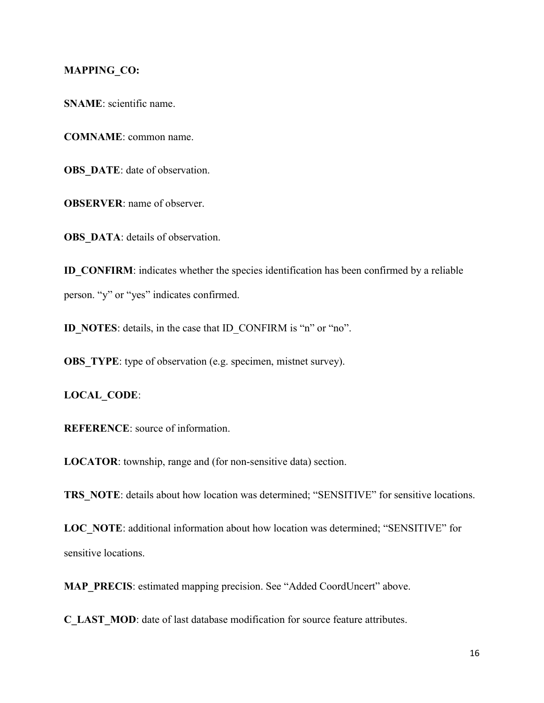### MAPPING\_CO:

SNAME: scientific name.

COMNAME: common name.

OBS DATE: date of observation.

OBSERVER: name of observer.

OBS DATA: details of observation.

ID\_CONFIRM: indicates whether the species identification has been confirmed by a reliable person. "y" or "yes" indicates confirmed.

ID\_NOTES: details, in the case that ID\_CONFIRM is "n" or "no".

**OBS** TYPE: type of observation (e.g. specimen, mistnet survey).

LOCAL\_CODE:

REFERENCE: source of information.

LOCATOR: township, range and (for non-sensitive data) section.

TRS NOTE: details about how location was determined; "SENSITIVE" for sensitive locations.

LOC\_NOTE: additional information about how location was determined; "SENSITIVE" for sensitive locations.

MAP\_PRECIS: estimated mapping precision. See "Added CoordUncert" above.

C\_LAST\_MOD: date of last database modification for source feature attributes.